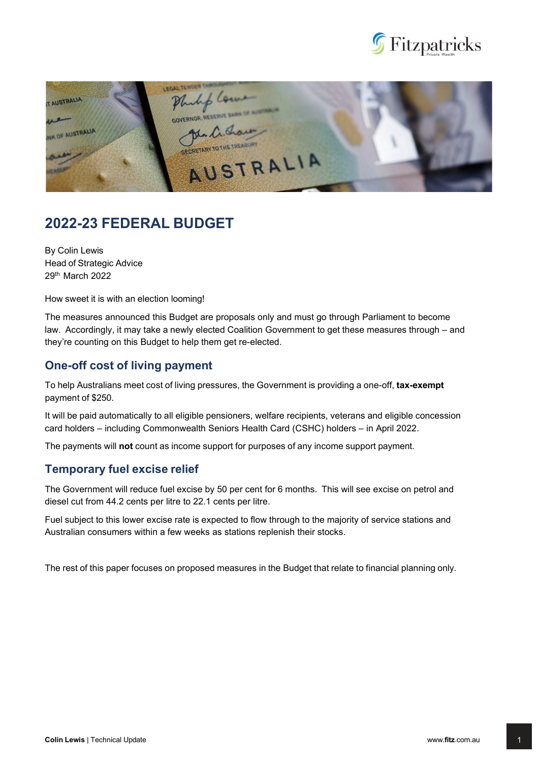



# **2022-23 FEDERAL BUDGET**

By Colin Lewis Head of Strategic Advice 29th March 2022

How sweet it is with an election looming!

The measures announced this Budget are proposals only and must go through Parliament to become law. Accordingly, it may take a newly elected Coalition Government to get these measures through – and they're counting on this Budget to help them get re-elected.

### **One-off cost of living payment**

To help Australians meet cost of living pressures, the Government is providing a one-off, **tax-exempt** payment of \$250.

It will be paid automatically to all eligible pensioners, welfare recipients, veterans and eligible concession card holders – including Commonwealth Seniors Health Card (CSHC) holders – in April 2022.

The payments will **not** count as income support for purposes of any income support payment.

### **Temporary fuel excise relief**

The Government will reduce fuel excise by 50 per cent for 6 months. This will see excise on petrol and diesel cut from 44.2 cents per litre to 22.1 cents per litre.

Fuel subject to this lower excise rate is expected to flow through to the majority of service stations and Australian consumers within a few weeks as stations replenish their stocks.

The rest of this paper focuses on proposed measures in the Budget that relate to financial planning only.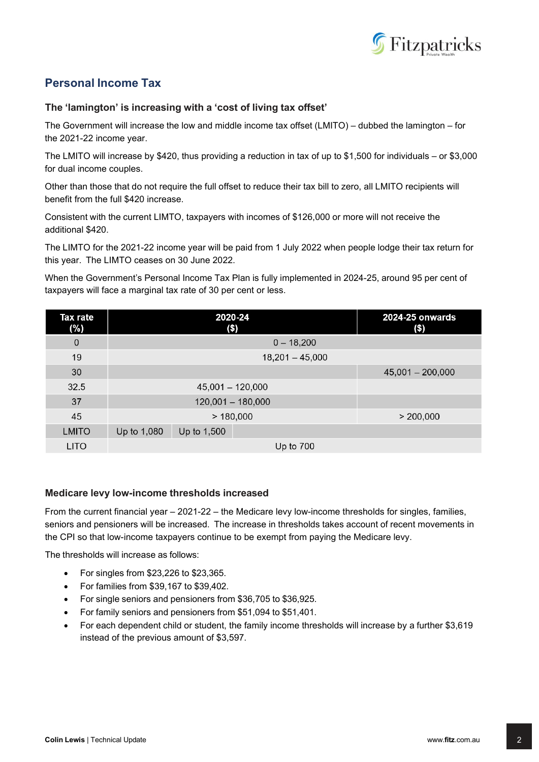

# **Personal Income Tax**

### **The 'lamington' is increasing with a 'cost of living tax offset'**

The Government will increase the low and middle income tax offset (LMITO) – dubbed the lamington – for the 2021-22 income year.

The LMITO will increase by \$420, thus providing a reduction in tax of up to \$1,500 for individuals – or \$3,000 for dual income couples.

Other than those that do not require the full offset to reduce their tax bill to zero, all LMITO recipients will benefit from the full \$420 increase.

Consistent with the current LIMTO, taxpayers with incomes of \$126,000 or more will not receive the additional \$420.

The LIMTO for the 2021-22 income year will be paid from 1 July 2022 when people lodge their tax return for this year. The LIMTO ceases on 30 June 2022.

When the Government's Personal Income Tax Plan is fully implemented in 2024-25, around 95 per cent of taxpayers will face a marginal tax rate of 30 per cent or less.

| Tax rate<br>(%)  | 2020-24<br>$($ \$)  |             |  | 2024-25 onwards<br>$($ \$) |
|------------------|---------------------|-------------|--|----------------------------|
| $\boldsymbol{0}$ | $0 - 18,200$        |             |  |                            |
| 19               | $18,201 - 45,000$   |             |  |                            |
| 30               |                     |             |  | $45,001 - 200,000$         |
| 32.5             | $45,001 - 120,000$  |             |  |                            |
| 37               | $120,001 - 180,000$ |             |  |                            |
| 45               | >180,000            |             |  | > 200,000                  |
| <b>LMITO</b>     | Up to 1,080         | Up to 1,500 |  |                            |
| <b>LITO</b>      | Up to 700           |             |  |                            |

#### **Medicare levy low-income thresholds increased**

From the current financial year – 2021-22 – the Medicare levy low-income thresholds for singles, families, seniors and pensioners will be increased. The increase in thresholds takes account of recent movements in the CPI so that low-income taxpayers continue to be exempt from paying the Medicare levy.

The thresholds will increase as follows:

- For singles from \$23,226 to \$23,365.
- For families from \$39,167 to \$39,402.
- For single seniors and pensioners from \$36,705 to \$36,925.
- For family seniors and pensioners from \$51,094 to \$51,401.
- For each dependent child or student, the family income thresholds will increase by a further \$3,619 instead of the previous amount of \$3,597.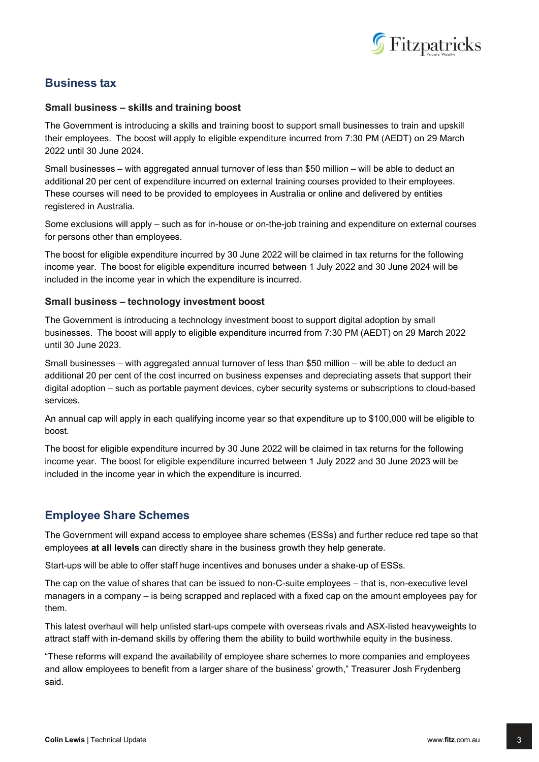

### **Business tax**

#### **Small business – skills and training boost**

The Government is introducing a skills and training boost to support small businesses to train and upskill their employees. The boost will apply to eligible expenditure incurred from 7:30 PM (AEDT) on 29 March 2022 until 30 June 2024.

Small businesses – with aggregated annual turnover of less than \$50 million – will be able to deduct an additional 20 per cent of expenditure incurred on external training courses provided to their employees. These courses will need to be provided to employees in Australia or online and delivered by entities registered in Australia.

Some exclusions will apply – such as for in-house or on-the-job training and expenditure on external courses for persons other than employees.

The boost for eligible expenditure incurred by 30 June 2022 will be claimed in tax returns for the following income year. The boost for eligible expenditure incurred between 1 July 2022 and 30 June 2024 will be included in the income year in which the expenditure is incurred.

#### **Small business – technology investment boost**

The Government is introducing a technology investment boost to support digital adoption by small businesses. The boost will apply to eligible expenditure incurred from 7:30 PM (AEDT) on 29 March 2022 until 30 June 2023.

Small businesses – with aggregated annual turnover of less than \$50 million – will be able to deduct an additional 20 per cent of the cost incurred on business expenses and depreciating assets that support their digital adoption – such as portable payment devices, cyber security systems or subscriptions to cloud-based services.

An annual cap will apply in each qualifying income year so that expenditure up to \$100,000 will be eligible to boost.

The boost for eligible expenditure incurred by 30 June 2022 will be claimed in tax returns for the following income year. The boost for eligible expenditure incurred between 1 July 2022 and 30 June 2023 will be included in the income year in which the expenditure is incurred.

### **Employee Share Schemes**

The Government will expand access to employee share schemes (ESSs) and further reduce red tape so that employees **at all levels** can directly share in the business growth they help generate.

Start-ups will be able to offer staff huge incentives and bonuses under a shake-up of ESSs.

The cap on the value of shares that can be issued to non-C-suite employees – that is, non-executive level managers in a company – is being scrapped and replaced with a fixed cap on the amount employees pay for them.

This latest [overhaul](https://www.afr.com/politics/federal/tax-and-regulation-overhaul-to-attract-global-talent-20210509-p57q7y) will help unlisted start-ups compete with overseas rivals and ASX-listed heavyweights to attract staff with in-demand skills by offering them the ability to build worthwhile equity in the business.

"These reforms will expand the availability of employee share schemes to more companies and employees and allow employees to benefit from a larger share of the business' growth," Treasurer Josh Frydenberg said.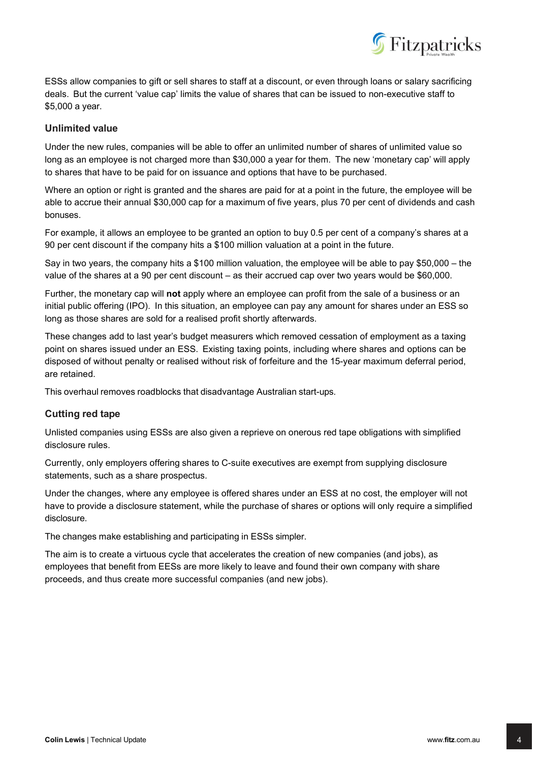

ESSs allow companies to gift or sell shares to staff at a discount, or even through loans or salary sacrificing deals. But the current 'value cap' limits the value of shares that can be issued to non-executive staff to \$5,000 a year.

### **Unlimited value**

Under the new rules, companies will be able to offer an unlimited number of shares of unlimited value so long as an employee is not charged more than \$30,000 a year for them. The new 'monetary cap' will apply to shares that have to be paid for on issuance and options that have to be purchased.

Where an option or right is granted and the shares are paid for at a point in the future, the employee will be able to accrue their annual \$30,000 cap for a maximum of five years, plus 70 per cent of dividends and cash bonuses.

For example, it allows an employee to be granted an option to buy 0.5 per cent of a company's shares at a 90 per cent discount if the company hits a \$100 million valuation at a point in the future.

Say in two years, the company hits a \$100 million valuation, the employee will be able to pay \$50,000 – the value of the shares at a 90 per cent discount – as their accrued cap over two years would be \$60,000.

Further, the monetary cap will **not** apply where an employee can profit from the sale of a business or an initial public offering (IPO). In this situation, an employee can pay any amount for shares under an ESS so long as those shares are sold for a realised profit shortly afterwards.

These changes add to last year's budget measurers which removed cessation of employment as a taxing point on shares issued under an ESS. Existing taxing points, including where shares and options can be disposed of without penalty or realised without risk of forfeiture and the 15-year maximum deferral period, are retained.

This overhaul removes roadblocks that disadvantage Australian start-ups.

#### **Cutting red tape**

Unlisted companies using ESSs are also given a reprieve on onerous red tape obligations with simplified disclosure rules.

Currently, only employers offering shares to C-suite executives are exempt from supplying disclosure statements, such as a share prospectus.

Under the changes, where any employee is offered shares under an ESS at no cost, the employer will not have to provide a disclosure statement, while the purchase of shares or options will only require a simplified disclosure.

The changes make establishing and participating in ESSs simpler.

The aim is to create a virtuous cycle that accelerates the creation of new companies (and jobs), [as](https://www.afr.com/policy/economy/share-scheme-overhaul-to-create-more-start-up-founders-20211123-p59bgk) [employees](https://www.afr.com/policy/economy/share-scheme-overhaul-to-create-more-start-up-founders-20211123-p59bgk) that benefit from EESs are more likely to leave and found their own company with share proceeds, and thus create more successful companies (and new jobs).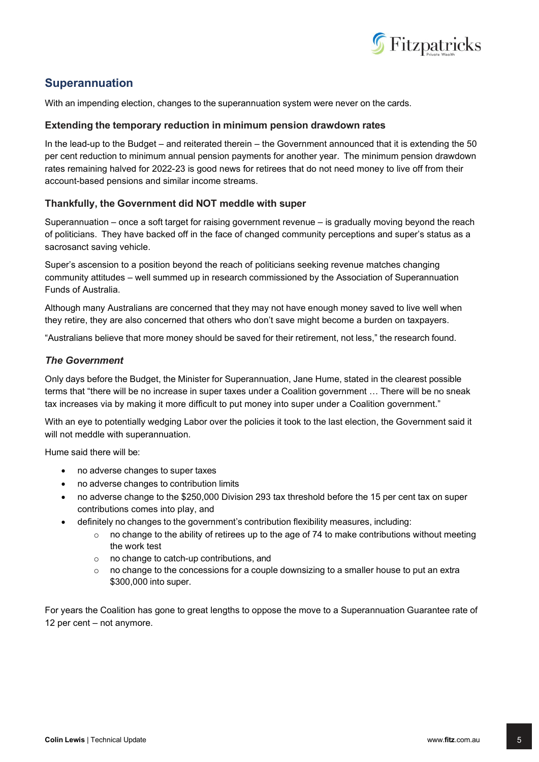

## **Superannuation**

With an impending election, changes to the superannuation system were never on the cards.

### **Extending the temporary reduction in minimum pension drawdown rates**

In the lead-up to the Budget – and reiterated therein – the Government announced that it is extending the 50 per cent reduction to minimum annual pension payments for another year. The minimum pension drawdown rates remaining halved for 2022-23 is good news for retirees that do not need money to live off from their account-based pensions and similar income streams.

### **Thankfully, the Government did NOT meddle with super**

Superannuation – once a soft target for raising government revenue – is gradually moving beyond the reach of politicians. They have backed off in the face of changed community perceptions and super's status as a sacrosanct saving vehicle.

Super's ascension to a position beyond the reach of politicians seeking revenue matches changing community attitudes – well summed up in research commissioned by the Association of Superannuation Funds of Australia.

Although many Australians are concerned that they may not have enough money saved to live well when they retire, they are also concerned that others who don't save might become a burden on taxpayers.

"Australians believe that more money should be saved for their retirement, not less," the research found.

### *The Government*

Only days before the Budget, the Minister for [Superannuation,](https://www.afr.com/link/follow-20180101-p59wkd) Jane Hume, stated in the clearest possible terms that "there will be no increase in super taxes under a Coalition government … There will be no sneak tax increases via by making it more difficult to put money into super under a Coalition government."

With an eye to potentially wedging Labor over the policies it took to the last election, the Government said it will not meddle with superannuation.

Hume said there will be:

- no adverse changes to super taxes
- no adverse changes to contribution limits
- no adverse change to the \$250,000 Division 293 tax threshold before the 15 per cent tax on super contributions comes into play, and
- definitely no changes to the government's contribution flexibility measures, including:
	- $\circ$  no change to the ability of retirees up to the age of 74 to make contributions without meeting the work test
	- o no change to catch-up contributions, and
	- $\circ$  no change to the concessions for a couple downsizing to a smaller house to put an extra \$300,000 into super.

For years the Coalition has gone to great lengths to oppose the move to a [Superannuation](https://www.afr.com/link/follow-20180101-p59hqc) Guarantee rate of [12 per cent –](https://www.afr.com/link/follow-20180101-p59hqc) not anymore.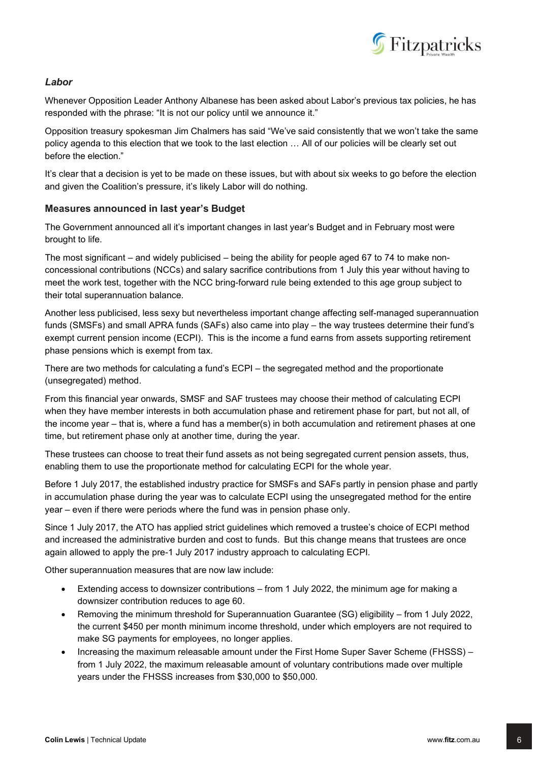

### *Labor*

Whenever [Opposition](https://www.afr.com/link/follow-20180101-p5a2mj) Leader Anthony Albanese has been asked about Labor's previous tax policies, he has responded with the phrase: "It is not our policy until we announce it."

Opposition treasury spokesman Jim Chalmers has said "We've said consistently that we won't take the same policy agenda to this election that we took to the last election … All of our policies will be clearly set out before the election."

It's clear that a decision is yet to be made on these issues, but with about six weeks to go before the election and given the Coalition's pressure, it's likely Labor will do nothing.

#### **Measures announced in last year's Budget**

The Government announced all it's important changes in last year's Budget and in February most were brought to life.

The most significant – and widely publicised – being the ability for people aged 67 to 74 to make nonconcessional contributions (NCCs) and salary sacrifice contributions from 1 July this year without having to meet the work test, together with the NCC bring-forward rule being extended to this age group subject to their total superannuation balance.

Another less publicised, less sexy but nevertheless important change affecting self-managed superannuation funds (SMSFs) and small APRA funds (SAFs) also came into play – the way trustees determine their fund's exempt current pension income (ECPI). This is the income a fund earns from assets supporting retirement phase pensions which is exempt from tax.

There are two methods for calculating a fund's ECPI – the segregated method and the proportionate (unsegregated) method.

From this financial year onwards, SMSF and SAF trustees may choose their method of calculating ECPI when they have member interests in both accumulation phase and retirement phase for part, but not all, of the income year – that is, where a fund has a member(s) in both accumulation and retirement phases at one time, but retirement phase only at another time, during the year.

These trustees can choose to treat their fund assets as not being segregated current pension assets, thus, enabling them to use the proportionate method for calculating ECPI for the whole year.

Before 1 July 2017, the established industry practice for SMSFs and SAFs partly in pension phase and partly in accumulation phase during the year was to calculate ECPI using the unsegregated method for the entire year – even if there were periods where the fund was in pension phase only.

Since 1 July 2017, the ATO has applied strict guidelines which removed a trustee's choice of ECPI method and increased the administrative burden and cost to funds. But this change means that trustees are once again allowed to apply the pre-1 July 2017 industry approach to calculating ECPI.

Other superannuation measures that are now law include:

- Extending access to downsizer contributions from 1 July 2022, the minimum age for making a downsizer contribution reduces to age 60.
- Removing the minimum threshold for Superannuation Guarantee (SG) eligibility from 1 July 2022, the current \$450 per month minimum income threshold, under which employers are not required to make SG payments for employees, no longer applies.
- Increasing the maximum releasable amount under the First Home Super Saver Scheme (FHSSS) from 1 July 2022, the maximum releasable amount of voluntary contributions made over multiple years under the FHSSS increases from \$30,000 to \$50,000.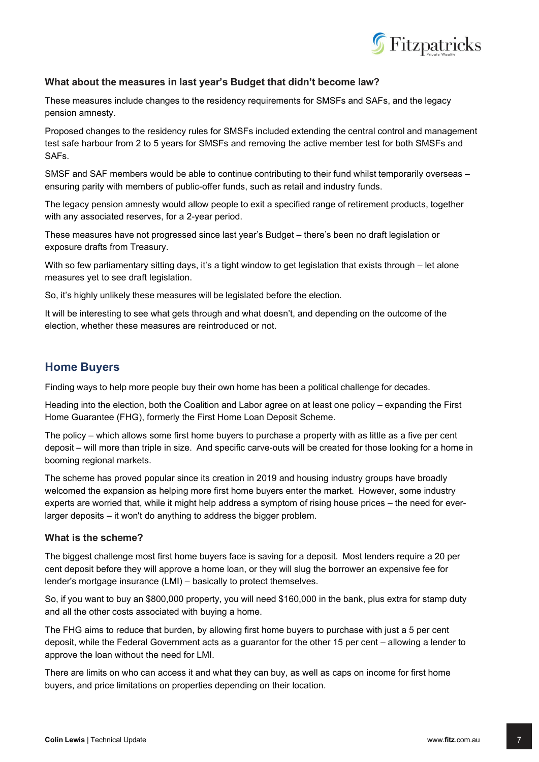

### **What about the measures in last year's Budget that didn't become law?**

These measures include changes to the residency requirements for SMSFs and SAFs, and the legacy pension amnesty.

Proposed changes to the residency rules for SMSFs included extending the central control and management test safe harbour from 2 to 5 years for SMSFs and removing the active member test for both SMSFs and SAFs.

SMSF and SAF members would be able to continue contributing to their fund whilst temporarily overseas – ensuring parity with members of public-offer funds, such as retail and industry funds.

The legacy pension amnesty would allow people to exit a specified range of retirement products, together with any associated reserves, for a 2-year period.

These measures have not progressed since last year's Budget – there's been no draft legislation or exposure drafts from Treasury.

With so few parliamentary sitting days, it's a tight window to get legislation that exists through – let alone measures yet to see draft legislation.

So, it's highly unlikely these measures will be legislated before the election.

It will be interesting to see what gets through and what doesn't, and depending on the outcome of the election, whether these measures are reintroduced or not.

### **Home Buyers**

Finding ways to help more people buy their own home has been a political challenge for decades.

Heading into the election, both the Coalition and Labor agree on at least one policy – expanding the First Home Guarantee (FHG), formerly the First Home Loan Deposit Scheme.

The policy – which allows some first home buyers to purchase a property with as little as a five per cent deposit – will more than triple in size. And specific carve-outs will be created for those looking for a home in booming regional markets.

The scheme has proved popular since its creation in 2019 and housing industry groups have broadly welcomed the expansion as helping more first home buyers enter the market. However, some industry experts are worried that, while it might help address a symptom of rising house prices – the need for everlarger deposits – it won't do anything to address the bigger problem.

#### **What is the scheme?**

The biggest challenge most first home buyers face is saving for a deposit. Most lenders require a 20 per cent deposit before they will approve a home loan, or they will slug the borrower an expensive fee for lender's mortgage insurance (LMI) – basically to protect themselves.

So, if you want to buy an \$800,000 property, you will need \$160,000 in the bank, plus extra for stamp duty and all the other costs associated with buying a home.

The FHG aims to reduce that burden, by allowing first home buyers to purchase with just a 5 per cent deposit, while the Federal Government acts as a guarantor for the other 15 per cent – allowing a lender to approve the loan without the need for LMI.

There are limits on who can access it and what they can buy, as well as caps on income for first home buyers, and price limitations on properties depending on their location.